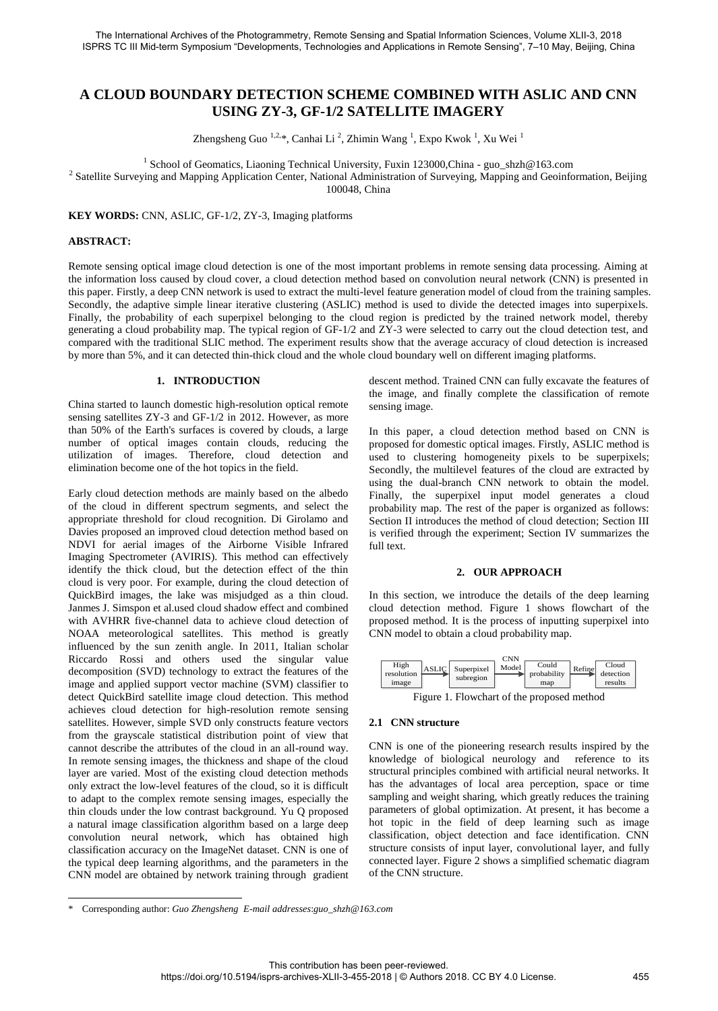# **A CLOUD BOUNDARY DETECTION SCHEME COMBINED WITH ASLIC AND CNN USING ZY-3, GF-1/2 SATELLITE IMAGERY**

Zhengsheng Guo<sup>1,2,\*</sup>, Canhai Li<sup>2</sup>, Zhimin Wang<sup>1</sup>, Expo Kwok<sup>1</sup>, Xu Wei<sup>1</sup>

<sup>1</sup> School of Geomatics, Liaoning Technical University, Fuxin 123000, China - guo\_shzh@163.com

<sup>2</sup> Satellite Surveying and Mapping Application Center, National Administration of Surveying, Mapping and Geoinformation, Beijing 100048, China

**KEY WORDS:** CNN, ASLIC, GF-1/2, ZY-3, Imaging platforms

#### **ABSTRACT:**

 $\overline{a}$ 

Remote sensing optical image cloud detection is one of the most important problems in remote sensing data processing. Aiming at the information loss caused by cloud cover, a cloud detection method based on convolution neural network (CNN) is presented in this paper. Firstly, a deep CNN network is used to extract the multi-level feature generation model of cloud from the training samples. Secondly, the adaptive simple linear iterative clustering (ASLIC) method is used to divide the detected images into superpixels. Finally, the probability of each superpixel belonging to the cloud region is predicted by the trained network model, thereby generating a cloud probability map. The typical region of GF-1/2 and ZY-3 were selected to carry out the cloud detection test, and compared with the traditional SLIC method. The experiment results show that the average accuracy of cloud detection is increased by more than 5%, and it can detected thin-thick cloud and the whole cloud boundary well on different imaging platforms.

#### **1. INTRODUCTION**

China started to launch domestic high-resolution optical remote sensing satellites ZY-3 and GF-1/2 in 2012. However, as more than 50% of the Earth's surfaces is covered by clouds, a large number of optical images contain clouds, reducing the utilization of images. Therefore, cloud detection and elimination become one of the hot topics in the field.

Early cloud detection methods are mainly based on the albedo of the cloud in different spectrum segments, and select the appropriate threshold for cloud recognition. Di Girolamo and Davies proposed an improved cloud detection method based on NDVI for aerial images of the Airborne Visible Infrared Imaging Spectrometer (AVIRIS). This method can effectively identify the thick cloud, but the detection effect of the thin cloud is very poor. For example, during the cloud detection of QuickBird images, the lake was misjudged as a thin cloud. Janmes J. Simspon et al.used cloud shadow effect and combined with AVHRR five-channel data to achieve cloud detection of NOAA meteorological satellites. This method is greatly influenced by the sun zenith angle. In 2011, Italian scholar Riccardo Rossi and others used the singular value decomposition (SVD) technology to extract the features of the image and applied support vector machine (SVM) classifier to detect QuickBird satellite image cloud detection. This method achieves cloud detection for high-resolution remote sensing satellites. However, simple SVD only constructs feature vectors from the grayscale statistical distribution point of view that cannot describe the attributes of the cloud in an all-round way. In remote sensing images, the thickness and shape of the cloud layer are varied. Most of the existing cloud detection methods only extract the low-level features of the cloud, so it is difficult to adapt to the complex remote sensing images, especially the thin clouds under the low contrast background. Yu Q proposed a natural image classification algorithm based on a large deep convolution neural network, which has obtained high classification accuracy on the ImageNet dataset. CNN is one of the typical deep learning algorithms, and the parameters in the CNN model are obtained by network training through gradient

descent method. Trained CNN can fully excavate the features of the image, and finally complete the classification of remote sensing image.

In this paper, a cloud detection method based on CNN is proposed for domestic optical images. Firstly, ASLIC method is used to clustering homogeneity pixels to be superpixels; Secondly, the multilevel features of the cloud are extracted by using the dual-branch CNN network to obtain the model. Finally, the superpixel input model generates a cloud probability map. The rest of the paper is organized as follows: Section II introduces the method of cloud detection; Section III is verified through the experiment; Section IV summarizes the full text.

#### **2. OUR APPROACH**

In this section, we introduce the details of the deep learning cloud detection method. Figure 1 shows flowchart of the proposed method. It is the process of inputting superpixel into CNN model to obtain a cloud probability map.

| High<br>resolution<br>image | <b>ASLIC</b> | Superpixel<br>subregion | CNN<br>Model | Could<br>probability<br>map | Refine | Cloud<br>detection<br>results |
|-----------------------------|--------------|-------------------------|--------------|-----------------------------|--------|-------------------------------|
|                             |              |                         |              |                             |        |                               |

Figure 1. Flowchart of the proposed method

### **2.1 CNN structure**

CNN is one of the pioneering research results inspired by the knowledge of biological neurology and reference to its structural principles combined with artificial neural networks. It has the advantages of local area perception, space or time sampling and weight sharing, which greatly reduces the training parameters of global optimization. At present, it has become a hot topic in the field of deep learning such as image classification, object detection and face identification. CNN structure consists of input layer, convolutional layer, and fully connected layer. Figure 2 shows a simplified schematic diagram of the CNN structure.

<sup>\*</sup> Corresponding author: *Guo Zhengsheng E-mail addresses*:*guo\_shzh@163.com*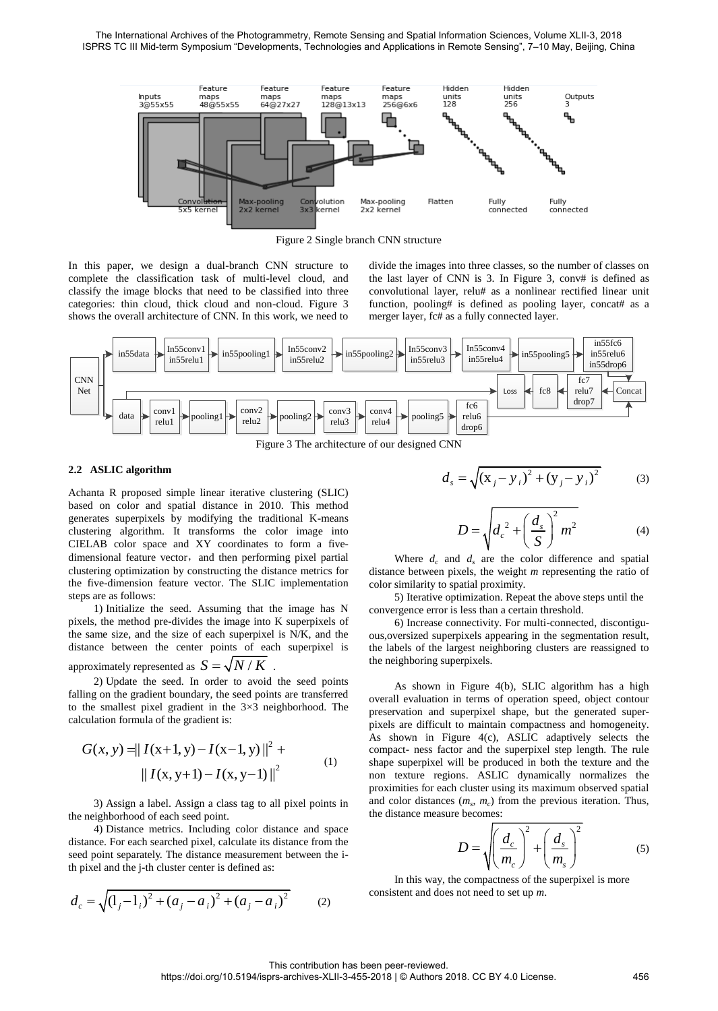

Figure 2 Single branch CNN structure

In this paper, we design a dual-branch CNN structure to complete the classification task of multi-level cloud, and classify the image blocks that need to be classified into three categories: thin cloud, thick cloud and non-cloud. Figure 3 shows the overall architecture of CNN. In this work, we need to divide the images into three classes, so the number of classes on the last layer of CNN is 3. In Figure 3, conv# is defined as convolutional layer, relu# as a nonlinear rectified linear unit function, pooling# is defined as pooling layer, concat# as a merger layer, fc# as a fully connected layer.



Figure 3 The architecture of our designed CNN

## **2.2 ASLIC algorithm**

Achanta R proposed simple linear iterative clustering (SLIC) based on color and spatial distance in 2010. This method generates superpixels by modifying the traditional K-means clustering algorithm. It transforms the color image into CIELAB color space and XY coordinates to form a fivedimensional feature vector, and then performing pixel partial clustering optimization by constructing the distance metrics for the five-dimension feature vector. The SLIC implementation steps are as follows:

1) Initialize the seed. Assuming that the image has N pixels, the method pre-divides the image into K superpixels of the same size, and the size of each superpixel is N/K, and the distance between the center points of each superpixel is

approximately represented as 
$$
S = \sqrt{N/K}
$$
.

2) Update the seed. In order to avoid the seed points falling on the gradient boundary, the seed points are transferred to the smallest pixel gradient in the  $3\times3$  neighborhood. The calculation formula of the gradient is:

$$
G(x, y) = || I(x+1, y) - I(x-1, y) ||2 + || I(x, y+1) - I(x, y-1) ||2
$$
 (1)

3) Assign a label. Assign a class tag to all pixel points in the neighborhood of each seed point.

4) Distance metrics. Including color distance and space distance. For each searched pixel, calculate its distance from the seed point separately. The distance measurement between the ith pixel and the j-th cluster center is defined as:

$$
d_c = \sqrt{\left(1_j - 1_i\right)^2 + \left(a_j - a_i\right)^2 + \left(a_j - a_i\right)^2} \tag{2}
$$

$$
d_s = \sqrt{(x_j - y_i)^2 + (y_j - y_i)^2}
$$
 (3)

$$
D = \sqrt{d_c^2 + \left(\frac{d_s}{S}\right)^2 m^2}
$$
 (4)

Where  $d_c$  and  $d_s$  are the color difference and spatial distance between pixels, the weight *m* representing the ratio of color similarity to spatial proximity.

5) Iterative optimization. Repeat the above steps until the convergence error is less than a certain threshold.

6) Increase connectivity. For multi-connected, discontiguous,oversized superpixels appearing in the segmentation result, the labels of the largest neighboring clusters are reassigned to the neighboring superpixels.

As shown in Figure 4(b), SLIC algorithm has a high overall evaluation in terms of operation speed, object contour preservation and superpixel shape, but the generated superpixels are difficult to maintain compactness and homogeneity. As shown in Figure 4(c), ASLIC adaptively selects the compact- ness factor and the superpixel step length. The rule shape superpixel will be produced in both the texture and the non texture regions. ASLIC dynamically normalizes the proximities for each cluster using its maximum observed spatial and color distances  $(m_s, m_c)$  from the previous iteration. Thus, the distance measure becomes:

$$
D = \sqrt{\left(\frac{d_c}{m_c}\right)^2 + \left(\frac{d_s}{m_s}\right)^2} \tag{5}
$$

In this way, the compactness of the superpixel is more consistent and does not need to set up *m*.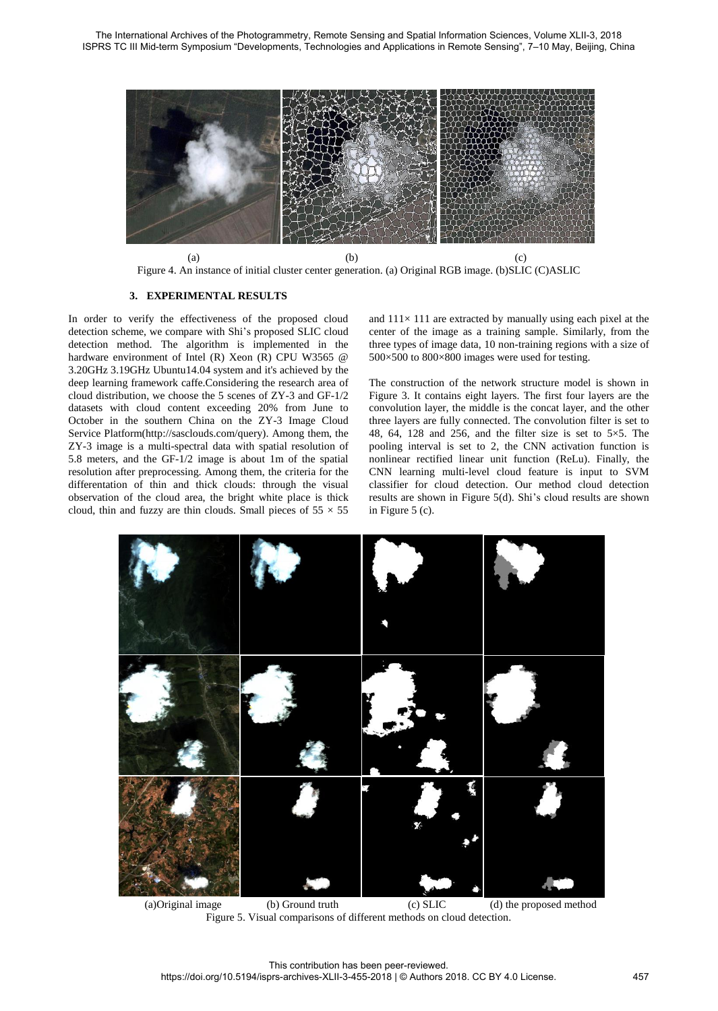

Figure 4. An instance of initial cluster center generation. (a) Original RGB image. (b)SLIC (C)ASLIC

## **3. EXPERIMENTAL RESULTS**

In order to verify the effectiveness of the proposed cloud detection scheme, we compare with Shi's proposed SLIC cloud detection method. The algorithm is implemented in the hardware environment of Intel (R) Xeon (R) CPU W3565 @ 3.20GHz 3.19GHz Ubuntu14.04 system and it's achieved by the deep learning framework caffe.Considering the research area of cloud distribution, we choose the 5 scenes of ZY-3 and GF-1/2 datasets with cloud content exceeding 20% from June to October in the southern China on the ZY-3 Image Cloud Service Platform[\(http://sasclouds.](http://sasclouds/)com/query). Among them, the ZY-3 image is a multi-spectral data with spatial resolution of 5.8 meters, and the GF-1/2 image is about 1m of the spatial resolution after preprocessing. Among them, the criteria for the differentation of thin and thick clouds: through the visual observation of the cloud area, the bright white place is thick cloud, thin and fuzzy are thin clouds. Small pieces of  $55 \times 55$ 

and  $111 \times 111$  are extracted by manually using each pixel at the center of the image as a training sample. Similarly, from the three types of image data, 10 non-training regions with a size of  $500\times500$  to  $800\times800$  images were used for testing.

The construction of the network structure model is shown in Figure 3. It contains eight layers. The first four layers are the convolution layer, the middle is the concat layer, and the other three layers are fully connected. The convolution filter is set to 48, 64, 128 and 256, and the filter size is set to  $5 \times 5$ . The pooling interval is set to 2, the CNN activation function is nonlinear rectified linear unit function (ReLu). Finally, the CNN learning multi-level cloud feature is input to SVM classifier for cloud detection. Our method cloud detection results are shown in Figure 5(d). Shi's cloud results are shown in Figure 5 (c).



 (a)Original image (b) Ground truth (c) SLIC (d) the proposed method Figure 5. Visual comparisons of different methods on cloud detection.